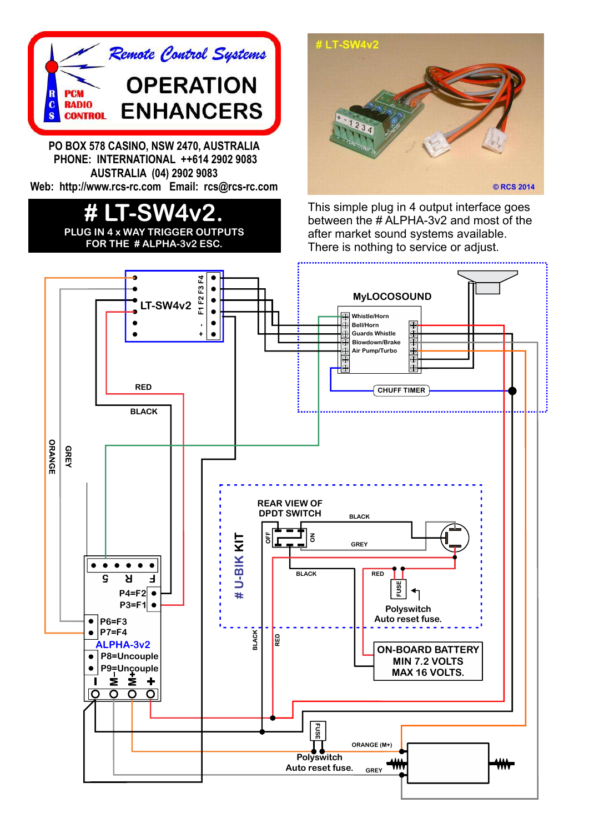

**PO BOX 578 CASINO, NSW 2470, AUSTRALIA PHONE: INTERNATIONAL ++614 2902 9083 AUSTRALIA (04) 2902 9083 Web: http://www.rcs-rc.com Email: rcs@rcs-rc.com**

## **# LT-SW4v2. PLUG IN 4 x WAY TRIGGER OUTPUTS**

**FOR THE # ALPHA-3v2 ESC.**



This simple plug in 4 output interface goes between the # ALPHA-3v2 and most of the after market sound systems available. There is nothing to service or adjust.

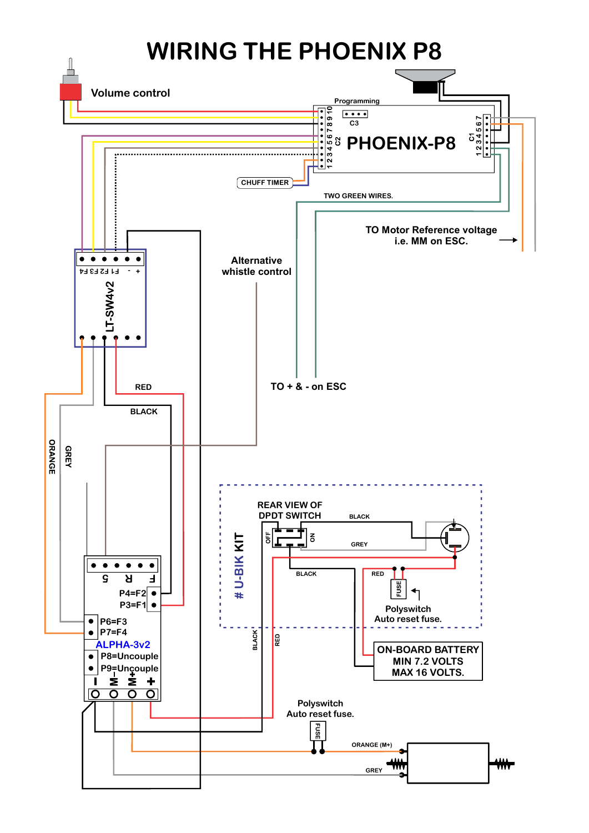